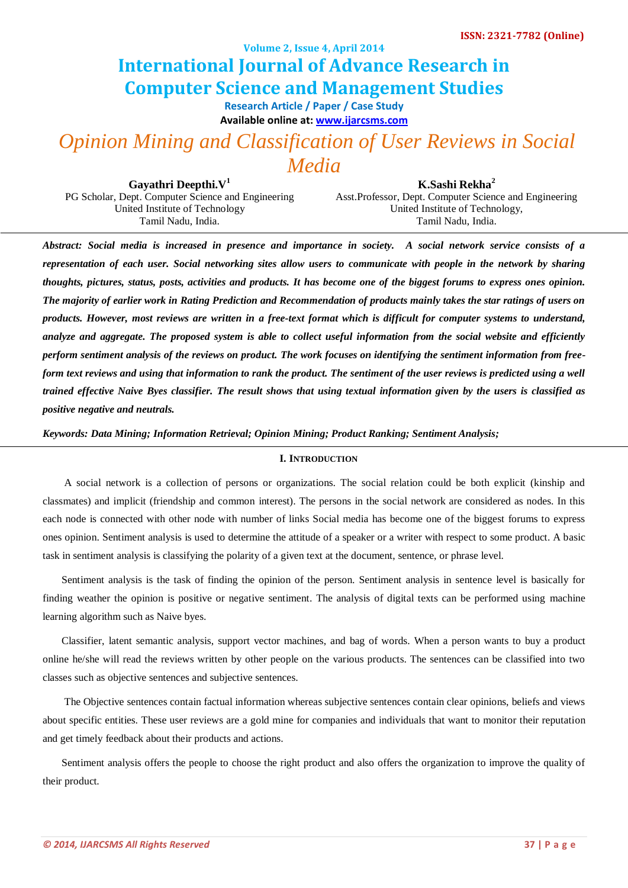**Volume 2, Issue 4, April 2014**

# **International Journal of Advance Research in Computer Science and Management Studies**

**Research Article / Paper / Case Study**

**Available online at[: www.ijarcsms.com](http://www.ijarcsms.com/)**

# *Opinion Mining and Classification of User Reviews in Social Media*

**Gayathri Deepthi.V<sup>1</sup>** PG Scholar, Dept. Computer Science and Engineering United Institute of Technology Tamil Nadu, India.

**K.Sashi Rekha<sup>2</sup>** Asst.Professor, Dept. Computer Science and Engineering United Institute of Technology, Tamil Nadu, India.

*Abstract: Social media is increased in presence and importance in society. A social network service consists of a representation of each user. Social networking sites allow users to communicate with people in the network by sharing thoughts, pictures, status, posts, activities and products. It has become one of the biggest forums to express ones opinion. The majority of earlier work in Rating Prediction and Recommendation of products mainly takes the star ratings of users on products. However, most reviews are written in a free-text format which is difficult for computer systems to understand, analyze and aggregate. The proposed system is able to collect useful information from the social website and efficiently perform sentiment analysis of the reviews on product. The work focuses on identifying the sentiment information from freeform text reviews and using that information to rank the product. The sentiment of the user reviews is predicted using a well trained effective Naive Byes classifier. The result shows that using textual information given by the users is classified as positive negative and neutrals.*

*Keywords: Data Mining; Information Retrieval; Opinion Mining; Product Ranking; Sentiment Analysis;*

## **I. INTRODUCTION**

A social network is a collection of persons or organizations. The social relation could be both explicit (kinship and classmates) and implicit (friendship and common interest). The persons in the social network are considered as nodes. In this each node is connected with other node with number of links Social media has become one of the biggest forums to express ones opinion. Sentiment analysis is used to determine the attitude of a speaker or a writer with respect to some product. A basic task in sentiment analysis is classifying the polarity of a given text at the document, sentence, or phrase level.

Sentiment analysis is the task of finding the opinion of the person. Sentiment analysis in sentence level is basically for finding weather the opinion is positive or negative sentiment. The analysis of digital texts can be performed using machine learning algorithm such as Naive byes.

Classifier, latent semantic analysis, support vector machines, and bag of words. When a person wants to buy a product online he/she will read the reviews written by other people on the various products. The sentences can be classified into two classes such as objective sentences and subjective sentences.

The Objective sentences contain factual information whereas subjective sentences contain clear opinions, beliefs and views about specific entities. These user reviews are a gold mine for companies and individuals that want to monitor their reputation and get timely feedback about their products and actions.

Sentiment analysis offers the people to choose the right product and also offers the organization to improve the quality of their product.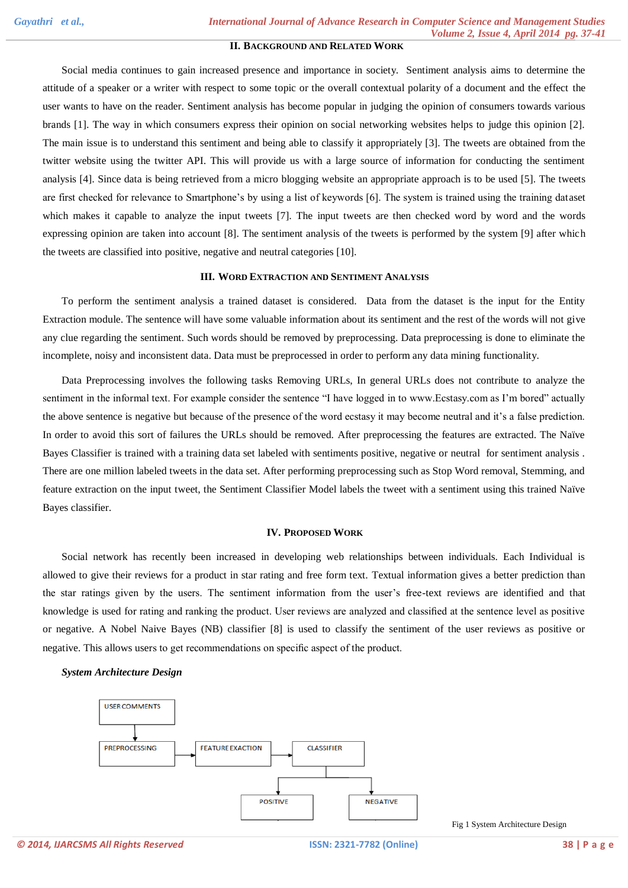# **II. BACKGROUND AND RELATED WORK**

Social media continues to gain increased presence and importance in society. Sentiment analysis aims to determine the attitude of a speaker or a writer with respect to some topic or the overall contextual polarity of a document and the effect the user wants to have on the reader. Sentiment analysis has become popular in judging the opinion of consumers towards various brands [1]. The way in which consumers express their opinion on social networking websites helps to judge this opinion [2]. The main issue is to understand this sentiment and being able to classify it appropriately [3]. The tweets are obtained from the twitter website using the twitter API. This will provide us with a large source of information for conducting the sentiment analysis [4]. Since data is being retrieved from a micro blogging website an appropriate approach is to be used [5]. The tweets are first checked for relevance to Smartphone's by using a list of keywords [6]. The system is trained using the training dataset which makes it capable to analyze the input tweets [7]. The input tweets are then checked word by word and the words expressing opinion are taken into account [8]. The sentiment analysis of the tweets is performed by the system [9] after which the tweets are classified into positive, negative and neutral categories [10].

### **III. WORD EXTRACTION AND SENTIMENT ANALYSIS**

To perform the sentiment analysis a trained dataset is considered. Data from the dataset is the input for the Entity Extraction module. The sentence will have some valuable information about its sentiment and the rest of the words will not give any clue regarding the sentiment. Such words should be removed by preprocessing. Data preprocessing is done to eliminate the incomplete, noisy and inconsistent data. Data must be preprocessed in order to perform any data mining functionality.

Data Preprocessing involves the following tasks Removing URLs, In general URLs does not contribute to analyze the sentiment in the informal text. For example consider the sentence "I have logged in to www.Ecstasy.com as I'm bored" actually the above sentence is negative but because of the presence of the word ecstasy it may become neutral and it's a false prediction. In order to avoid this sort of failures the URLs should be removed. After preprocessing the features are extracted. The Naïve Bayes Classifier is trained with a training data set labeled with sentiments positive, negative or neutral for sentiment analysis . There are one million labeled tweets in the data set. After performing preprocessing such as Stop Word removal, Stemming, and feature extraction on the input tweet, the Sentiment Classifier Model labels the tweet with a sentiment using this trained Naïve Bayes classifier.

#### **IV. PROPOSED WORK**

Social network has recently been increased in developing web relationships between individuals. Each Individual is allowed to give their reviews for a product in star rating and free form text. Textual information gives a better prediction than the star ratings given by the users. The sentiment information from the user's free-text reviews are identified and that knowledge is used for rating and ranking the product. User reviews are analyzed and classified at the sentence level as positive or negative. A Nobel Naive Bayes (NB) classifier [8] is used to classify the sentiment of the user reviews as positive or negative. This allows users to get recommendations on specific aspect of the product.

### *System Architecture Design*



Fig 1 System Architecture Design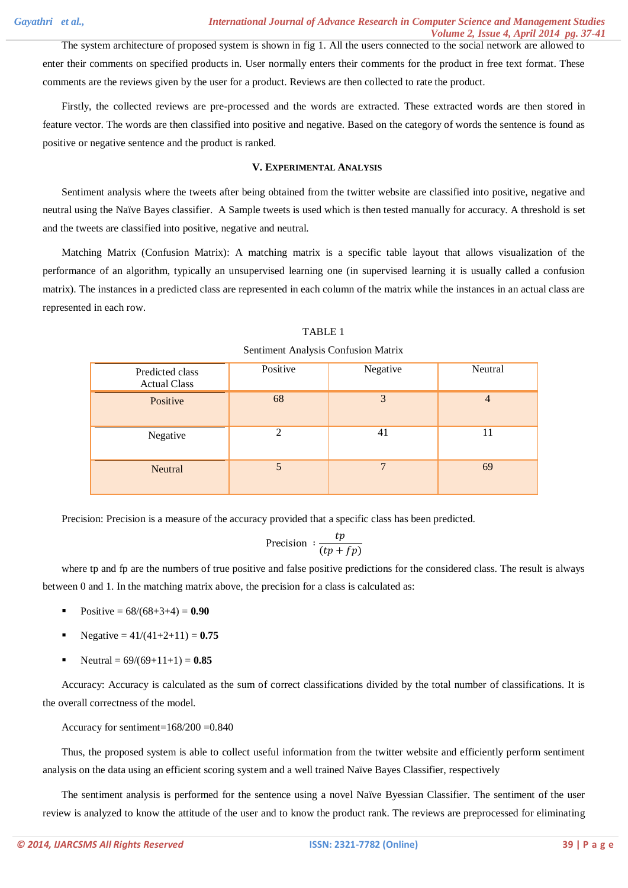The system architecture of proposed system is shown in fig 1. All the users connected to the social network are allowed to enter their comments on specified products in. User normally enters their comments for the product in free text format. These comments are the reviews given by the user for a product. Reviews are then collected to rate the product.

Firstly, the collected reviews are pre-processed and the words are extracted. These extracted words are then stored in feature vector. The words are then classified into positive and negative. Based on the category of words the sentence is found as positive or negative sentence and the product is ranked.

## **V. EXPERIMENTAL ANALYSIS**

Sentiment analysis where the tweets after being obtained from the twitter website are classified into positive, negative and neutral using the Naïve Bayes classifier. A Sample tweets is used which is then tested manually for accuracy. A threshold is set and the tweets are classified into positive, negative and neutral.

Matching Matrix (Confusion Matrix): A matching matrix is a specific table layout that allows visualization of the performance of an algorithm, typically an unsupervised learning one (in supervised learning it is usually called a confusion matrix). The instances in a predicted class are represented in each column of the matrix while the instances in an actual class are represented in each row.

| Predicted class<br><b>Actual Class</b> | Positive                    | Negative       | Neutral |
|----------------------------------------|-----------------------------|----------------|---------|
| Positive                               | 68                          | 3              | 4       |
| Negative                               | $\mathcal{D}_{\mathcal{A}}$ | 4 <sub>1</sub> | 11      |
| Neutral                                | 5                           | $\mathbf{r}$   | 69      |

TABLE 1

Sentiment Analysis Confusion Matrix

Precision: Precision is a measure of the accuracy provided that a specific class has been predicted.

$$
\text{Precision}: \frac{tp}{(tp+fp)}
$$

where tp and fp are the numbers of true positive and false positive predictions for the considered class. The result is always between 0 and 1. In the matching matrix above, the precision for a class is calculated as:

- Positive =  $68/(68+3+4) = 0.90$
- Negative =  $41/(41+2+11) = 0.75$
- Neutral =  $69/(69+11+1) = 0.85$

Accuracy: Accuracy is calculated as the sum of correct classifications divided by the total number of classifications. It is the overall correctness of the model.

Accuracy for sentiment=168/200 =0.840

Thus, the proposed system is able to collect useful information from the twitter website and efficiently perform sentiment analysis on the data using an efficient scoring system and a well trained Naïve Bayes Classifier, respectively

The sentiment analysis is performed for the sentence using a novel Naïve Byessian Classifier. The sentiment of the user review is analyzed to know the attitude of the user and to know the product rank. The reviews are preprocessed for eliminating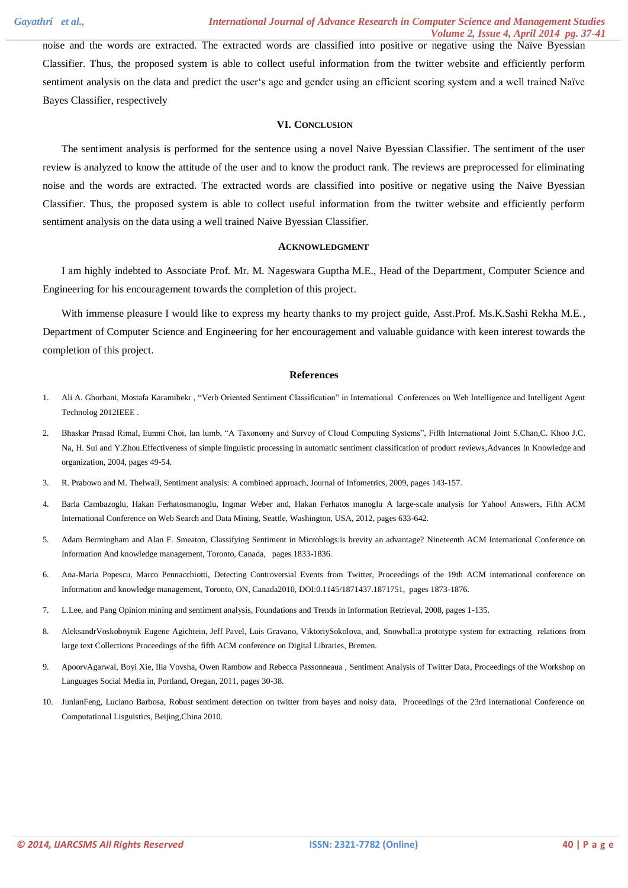noise and the words are extracted. The extracted words are classified into positive or negative using the Naïve Byessian Classifier. Thus, the proposed system is able to collect useful information from the twitter website and efficiently perform sentiment analysis on the data and predict the user's age and gender using an efficient scoring system and a well trained Naïve Bayes Classifier, respectively

## **VI. CONCLUSION**

The sentiment analysis is performed for the sentence using a novel Naive Byessian Classifier. The sentiment of the user review is analyzed to know the attitude of the user and to know the product rank. The reviews are preprocessed for eliminating noise and the words are extracted. The extracted words are classified into positive or negative using the Naive Byessian Classifier. Thus, the proposed system is able to collect useful information from the twitter website and efficiently perform sentiment analysis on the data using a well trained Naive Byessian Classifier.

#### **ACKNOWLEDGMENT**

I am highly indebted to Associate Prof. Mr. M. Nageswara Guptha M.E., Head of the Department, Computer Science and Engineering for his encouragement towards the completion of this project.

With immense pleasure I would like to express my hearty thanks to my project guide, Asst.Prof. Ms.K.Sashi Rekha M.E., Department of Computer Science and Engineering for her encouragement and valuable guidance with keen interest towards the completion of this project.

### **References**

- 1. Ali A. Ghorbani, Mostafa Karamibekr , "Verb Oriented Sentiment Classification" in International Conferences on Web Intelligence and Intelligent Agent Technolog 2012IEEE .
- 2. Bhaskar Prasad Rimal, Eunmi Choi, Ian lumb, "A Taxonomy and Survey of Cloud Computing Systems", Fifth International Joint S.Chan,C. Khoo J.C. Na, H. Sui and Y.Zhou.Effectiveness of simple linguistic processing in automatic sentiment classification of product reviews,Advances In Knowledge and organization, 2004, pages 49-54.
- 3. R. Prabowo and M. Thelwall, Sentiment analysis: A combined approach, Journal of Infometrics, 2009, pages 143-157.
- 4. Barla Cambazoglu, Hakan Ferhatosmanoglu, Ingmar Weber and, Hakan Ferhatos manoglu A large-scale analysis for Yahoo! Answers, Fifth ACM International Conference on Web Search and Data Mining, Seattle, Washington, USA, 2012, pages 633-642.
- 5. Adam Bermingham and Alan F. Smeaton, Classifying Sentiment in Microblogs:is brevity an advantage? Nineteenth ACM International Conference on Information And knowledge management, Toronto, Canada, pages 1833-1836.
- 6. Ana-Maria Popescu, Marco Pennacchiotti, Detecting Controversial Events from Twitter, Proceedings of the 19th ACM international conference on Information and knowledge management, Toronto, ON, Canada2010, DOI:0.1145/1871437.1871751, pages 1873-1876.
- 7. L.Lee, and Pang Opinion mining and sentiment analysis, Foundations and Trends in Information Retrieval, 2008, pages 1-135.
- 8. AleksandrVoskoboynik Eugene Agichtein, Jeff Pavel, Luis Gravano, ViktoriySokolova, and, Snowball*:*a prototype system for extracting relations from large text Collections Proceedings of the fifth ACM conference on Digital Libraries, Bremen.
- 9. ApoorvAgarwal, Boyi Xie, Ilia Vovsha, Owen Rambow and Rebecca Passonneaua , Sentiment Analysis of Twitter Data, Proceedings of the Workshop on Languages Social Media in, Portland, Oregan, 2011, pages 30-38.
- 10. JunlanFeng, Luciano Barbosa, Robust sentiment detection on twitter from bayes and noisy data, Proceedings of the 23rd international Conference on Computational Lisguistics, Beijing,China 2010.